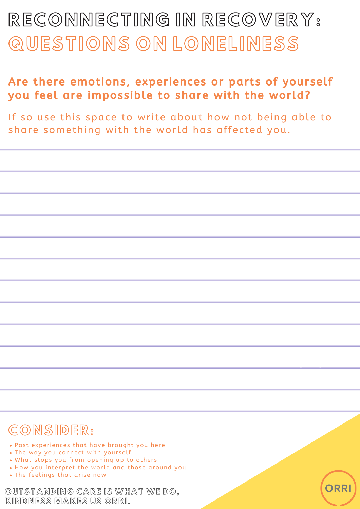OUTSTANDING CARE IS WHAT WE DO, KINDNESS MAKES US ORRI.



<u>FUTURE EN COMPAN</u>

## CONSIDER:

- . Past experiences that have brought you here
- . The way you connect with yourself
- . What stops you from opening up to others
- How you interpret the world and those around you
- . The feelings that arise now

RECONNECTING IN RECOVERY: QUESTIONS ON LONELINESS

### Are there emotions, experiences or parts of yourself you feel are impossible to share with the world?

If so use this space to write about how not being able to share something with the world has affected you.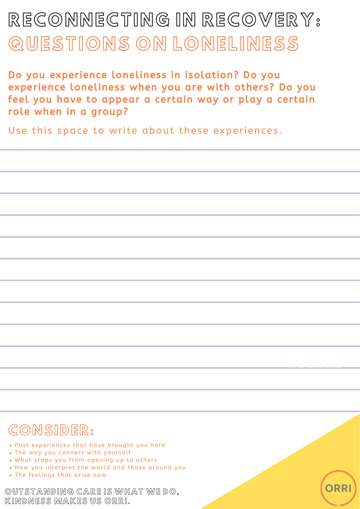OUTSTANDING CARE IS WHAT WE DO, KINDNESS MAKES US ORRI.



<u>FUTURE EN COMPAN</u>

Do you experience loneliness in isolation? Do you experience loneliness when you are with others? Do you feel you have to appear a certain way or play a certain role when in a group?

Use this space to write about these experiences.

# RECONNECTING IN RECOVERY: QUESTIONS ON LONELINESS

## CONSIDER:

- . Past experiences that have brought you here
- . The way you connect with yourself
- . What stops you from opening up to others
- How you interpret the world and those around you
- . The feelings that arise now